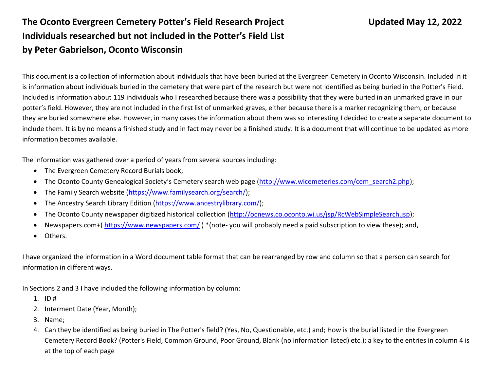## **The Oconto Evergreen Cemetery Potter's Field Research Project Updated May 12, 2022 Individuals researched but not included in the Potter's Field List by Peter Gabrielson, Oconto Wisconsin**

This document is a collection of information about individuals that have been buried at the Evergreen Cemetery in Oconto Wisconsin. Included in it is information about individuals buried in the cemetery that were part of the research but were not identified as being buried in the Potter's Field. Included is information about 119 individuals who I researched because there was a possibility that they were buried in an unmarked grave in our potter's field. However, they are not included in the first list of unmarked graves, either because there is a marker recognizing them, or because they are buried somewhere else. However, in many cases the information about them was so interesting I decided to create a separate document to include them. It is by no means a finished study and in fact may never be a finished study. It is a document that will continue to be updated as more information becomes available.

The information was gathered over a period of years from several sources including:

- The Evergreen Cemetery Record Burials book;
- The Oconto County Genealogical Society's Cemetery search web page [\(http://www.wicemeteries.com/cem\\_search2.php\)](http://www.wicemeteries.com/cem_search2.php);
- The Family Search website [\(https://www.familysearch.org/search/\)](https://www.familysearch.org/search/);
- The Ancestry Search Library Edition [\(https://www.ancestrylibrary.com/\)](https://www.ancestrylibrary.com/);
- The Oconto County newspaper digitized historical collection [\(http://ocnews.co.oconto.wi.us/jsp/RcWebSimpleSearch.jsp\)](http://ocnews.co.oconto.wi.us/jsp/RcWebSimpleSearch.jsp);
- Newspapers.com+(<https://www.newspapers.com/> ) \*(note- you will probably need a paid subscription to view these); and,
- Others.

I have organized the information in a Word document table format that can be rearranged by row and column so that a person can search for information in different ways.

In Sections 2 and 3 I have included the following information by column:

- 1. ID #
- 2. Interment Date (Year, Month);
- 3. Name;
- 4. Can they be identified as being buried in The Potter's field? (Yes, No, Questionable, etc.) and; How is the burial listed in the Evergreen Cemetery Record Book? (Potter's Field, Common Ground, Poor Ground, Blank (no information listed) etc.); a key to the entries in column 4 is at the top of each page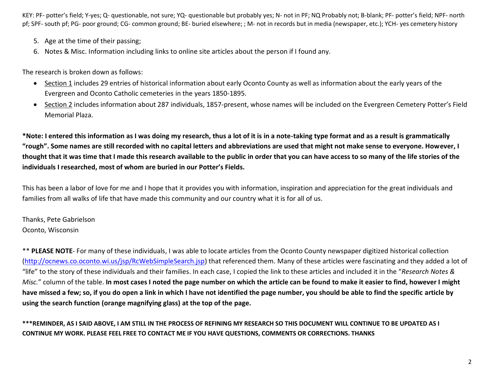- 5. Age at the time of their passing;
- 6. Notes & Misc. Information including links to online site articles about the person if I found any.

The research is broken down as follows:

- Section 1 includes 29 entries of historical information about early Oconto County as well as information about the early years of the Evergreen and Oconto Catholic cemeteries in the years 1850-1895.
- Section 2 includes information about 287 individuals, 1857-present, whose names will be included on the Evergreen Cemetery Potter's Field Memorial Plaza.

**\*Note: I entered this information as I was doing my research, thus a lot of it is in a note-taking type format and as a result is grammatically "rough". Some names are still recorded with no capital letters and abbreviations are used that might not make sense to everyone. However, I thought that it was time that I made this research available to the public in order that you can have access to so many of the life stories of the individuals I researched, most of whom are buried in our Potter's Fields.** 

This has been a labor of love for me and I hope that it provides you with information, inspiration and appreciation for the great individuals and families from all walks of life that have made this community and our country what it is for all of us.

Thanks, Pete Gabrielson Oconto, Wisconsin

\*\* PLEASE NOTE- For many of these individuals, I was able to locate articles from the Oconto County newspaper digitized historical collection [\(http://ocnews.co.oconto.wi.us/jsp/RcWebSimpleSearch.jsp\)](http://ocnews.co.oconto.wi.us/jsp/RcWebSimpleSearch.jsp) that referenced them. Many of these articles were fascinating and they added a lot of "life" to the story of these individuals and their families. In each case, I copied the link to these articles and included it in the "*Research Notes & Misc.*" column of the table. **In most cases I noted the page number on which the article can be found to make it easier to find, however I might have missed a few; so, if you do open a link in which I have not identified the page number, you should be able to find the specific article by using the search function (orange magnifying glass) at the top of the page.** 

**\*\*\*REMINDER, AS I SAID ABOVE, I AM STILL IN THE PROCESS OF REFINING MY RESEARCH SO THIS DOCUMENT WILL CONTINUE TO BE UPDATED AS I CONTINUE MY WORK. PLEASE FEEL FREE TO CONTACT ME IF YOU HAVE QUESTIONS, COMMENTS OR CORRECTIONS. THANKS**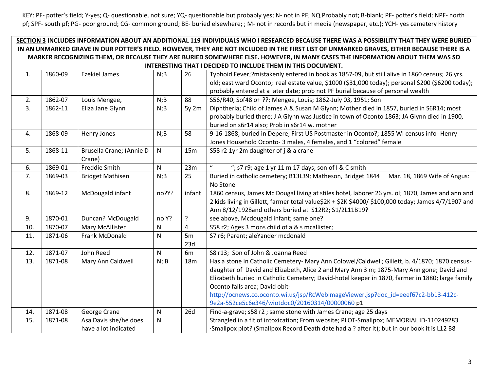## **SECTION 3 INCLUDES INFORMATION ABOUT AN ADDITIONAL 119 INDIVIDUALS WHO I RESEARCED BECAUSE THERE WAS A POSSIBILITY THAT THEY WERE BURIED IN AN UNMARKED GRAVE IN OUR POTTER'S FIELD. HOWEVER, THEY ARE NOT INCLUDED IN THE FIRST LIST OF UNMARKED GRAVES, EITHER BECAUSE THERE IS A MARKER RECOGNIZING THEM, OR BECAUSE THEY ARE BURIED SOMEWHERE ELSE. HOWEVER, IN MANY CASES THE INFORMATION ABOUT THEM WAS SO INTERESTING THAT I DECIDED TO INCLUDE THEM IN THIS DOCUMENT.**

| 1.             | 1860-09 | <b>Ezekiel James</b>     | N;B       | 26              | Typhoid Fever;?mistakenly entered in book as 1857-09, but still alive in 1860 census; 26 yrs.      |
|----------------|---------|--------------------------|-----------|-----------------|----------------------------------------------------------------------------------------------------|
|                |         |                          |           |                 | old; east ward Oconto; real estate value, \$1000 (\$31,000 today); personal \$200 (\$6200 today);  |
|                |         |                          |           |                 | probably entered at a later date; prob not PF burial because of personal wealth                    |
| 2.             | 1862-07 | Louis Mengee,            | N;B       | 88              | S56/R40; Sof48 o+ ??; Mengee, Louis; 1862-July 03, 1951; Son                                       |
| 3.             | 1862-11 | Eliza Jane Glynn         | N;B       | 5y 2m           | Diphtheria; Child of James A & Susan M Glynn; Mother died in 1857, buried in S6R14; most           |
|                |         |                          |           |                 | probably buried there; J A Glynn was Justice in town of Oconto 1863; JA Glynn died in 1900,        |
|                |         |                          |           |                 | buried on s6r14 also; Prob in s6r14 w. mother                                                      |
| $\mathbf{4}$ . | 1868-09 | Henry Jones              | N;B       | 58              | 9-16-1868; buried in Depere; First US Postmaster in Oconto?; 1855 WI census info- Henry            |
|                |         |                          |           |                 | Jones Household Oconto- 3 males, 4 females, and 1 "colored" female                                 |
| 5.             | 1868-11 | Brusella Crane; (Annie D | N         | 15m             | S58 r2 1yr 2m daughter of j & a crane                                                              |
|                |         | Crane)                   |           |                 |                                                                                                    |
| 6.             | 1869-01 | Freddie Smith            | N         | 23m             | $\boldsymbol{u}$<br>"; s7 r9; age 1 yr 11 m 17 days; son of $1$ & C smith                          |
| 7.             | 1869-03 | <b>Bridget Mathisen</b>  | N;B       | 25              | Buried in catholic cemetery; B13L39; Matheson, Bridget 1844<br>Mar. 18, 1869 Wife of Angus:        |
|                |         |                          |           |                 | No Stone                                                                                           |
| 8.             | 1869-12 | McDougald infant         | no?Y?     | infant          | 1860 census, James Mc Dougal living at stiles hotel, laborer 26 yrs. ol; 1870, James and ann and   |
|                |         |                          |           |                 | 2 kids living in Gillett, farmer total value\$2K + \$2K \$4000/\$100,000 today; James 4/7/1907 and |
|                |         |                          |           |                 | Ann 8/12/1928and others buried at S12R2; S1/2L11B19?                                               |
| 9.             | 1870-01 | Duncan? McDougald        | no Y?     | ?               | see above, Mcdougald infant; same one?                                                             |
| 10.            | 1870-07 | Mary McAllister          | N         | 4               | S58 r2; Ages 3 mons child of a & s mcallister;                                                     |
| 11.            | 1871-06 | Frank McDonald           | ${\sf N}$ | 5m              | S7 r6; Parent; aleYander mcdonald                                                                  |
|                |         |                          |           | 23d             |                                                                                                    |
| 12.            | 1871-07 | John Reed                | N         | 6m              | S8 r13; Son of John & Joanna Reed                                                                  |
| 13.            | 1871-08 | Mary Ann Caldwell        | N; B      | 18 <sub>m</sub> | Has a stone in Catholic Cemetery- Mary Ann Colowel/Caldwell; Gillett, b. 4/1870; 1870 census-      |
|                |         |                          |           |                 | daughter of David and Elizabeth, Alice 2 and Mary Ann 3 m; 1875-Mary Ann gone; David and           |
|                |         |                          |           |                 | Elizabeth buried in Catholic Cemetery; David-hotel keeper in 1870, farmer in 1880; large family    |
|                |         |                          |           |                 | Oconto falls area; David obit-                                                                     |
|                |         |                          |           |                 | http://ocnews.co.oconto.wi.us/jsp/RcWebImageViewer.jsp?doc_id=eeef67c2-bb13-412c-                  |
|                |         |                          |           |                 | 9e2a-552ce5c6e346/wiotdoc0/20160314/00000060 p1                                                    |
| 14.            | 1871-08 | George Crane             | N         | 26d             | Find-a-grave; s58 r2; same stone with James Crane; age 25 days                                     |
| 15.            | 1871-08 | Asa Davis she/he does    | N         |                 | Strangled in a fit of intoxication; From website; PLOT-Smallpox; MEMORIAL ID-110249283             |
|                |         | have a lot indicated     |           |                 | Smallpox plot? (Smallpox Record Death date had a ? after it); but in our book it is L12 B8         |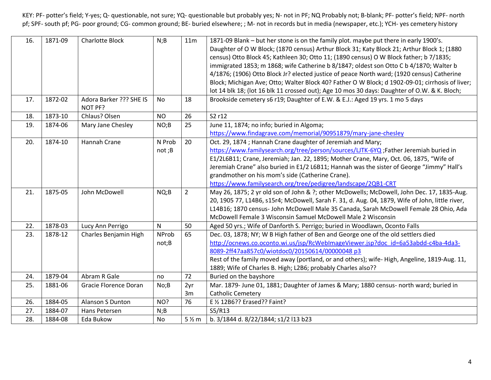| 16. | 1871-09 | <b>Charlotte Block</b>  | N;B          | 11m            | 1871-09 Blank – but her stone is on the family plot. maybe put there in early 1900's.<br>Daughter of O W Block; (1870 census) Arthur Block 31; Katy Block 21; Arthur Block 1; (1880<br>census) Otto Block 45; Kathleen 30; Otto 11; (1890 census) O W Block father; b 7/1835; |
|-----|---------|-------------------------|--------------|----------------|-------------------------------------------------------------------------------------------------------------------------------------------------------------------------------------------------------------------------------------------------------------------------------|
|     |         |                         |              |                | immigrated 1853; m 1868; wife Catherine b 8/1847; oldest son Otto C b 4/1870; Walter b                                                                                                                                                                                        |
|     |         |                         |              |                | 4/1876; (1906) Otto Block Jr? elected justice of peace North ward; (1920 census) Catherine                                                                                                                                                                                    |
|     |         |                         |              |                | Block; Michigan Ave; Otto; Walter Block 40? Father O W Block; d 1902-09-01; cirrhosis of liver;                                                                                                                                                                               |
|     |         |                         |              |                | lot 14 blk 18; (lot 16 blk 11 crossed out); Age 10 mos 30 days: Daughter of O.W. & K. Bloch;                                                                                                                                                                                  |
| 17. | 1872-02 | Adora Barker ??? SHE IS | No           | 18             | Brookside cemetery s6 r19; Daughter of E.W. & E.J.: Aged 19 yrs. 1 mo 5 days                                                                                                                                                                                                  |
|     |         | NOT PF?                 |              |                |                                                                                                                                                                                                                                                                               |
| 18. | 1873-10 | Chlaus? Olsen           | <b>NO</b>    | 26             | S2 r12                                                                                                                                                                                                                                                                        |
| 19. | 1874-06 | Mary Jane Chesley       | NO;B         | 25             | June 11, 1874; no info; buried in Algoma;                                                                                                                                                                                                                                     |
|     |         |                         |              |                | https://www.findagrave.com/memorial/90951879/mary-jane-chesley                                                                                                                                                                                                                |
| 20. | 1874-10 | Hannah Crane            | N Prob       | 20             | Oct. 29, 1874; Hannah Crane daughter of Jeremiah and Mary;                                                                                                                                                                                                                    |
|     |         |                         | not;B        |                | https://www.familysearch.org/tree/person/sources/LJTK-6YQ; Father Jeremiah buried in                                                                                                                                                                                          |
|     |         |                         |              |                | E1/2L6B11; Crane, Jeremiah; Jan. 22, 1895; Mother Crane, Mary, Oct. 06, 1875, "Wife of                                                                                                                                                                                        |
|     |         |                         |              |                | Jeremiah Crane" also buried in E1/2 L6B11; Hannah was the sister of George "Jimmy" Hall's                                                                                                                                                                                     |
|     |         |                         |              |                | grandmother on his mom's side (Catherine Crane).                                                                                                                                                                                                                              |
|     |         |                         |              |                | https://www.familysearch.org/tree/pedigree/landscape/2QB1-CRT                                                                                                                                                                                                                 |
| 21. | 1875-05 | John McDowell           | NQ;B         | $\overline{2}$ | May 26, 1875; 2 yr old son of John & ?; other McDowells; McDowell, John Dec. 17, 1835-Aug.                                                                                                                                                                                    |
|     |         |                         |              |                | 20, 1905 77, L14B6, s15r4; McDowell, Sarah F. 31, d. Aug. 04, 1879, Wife of John, little river,                                                                                                                                                                               |
|     |         |                         |              |                | L14B16; 1870 census- John McDowell Male 35 Canada, Sarah McDowell Female 28 Ohio, Ada                                                                                                                                                                                         |
|     |         |                         |              |                | McDowell Female 3 Wisconsin Samuel McDowell Male 2 Wisconsin                                                                                                                                                                                                                  |
| 22. | 1878-03 | Lucy Ann Perrigo        | $\mathsf{N}$ | 50             | Aged 50 yrs.; Wife of Danforth S. Perrigo; buried in Woodlawn, Oconto Falls                                                                                                                                                                                                   |
| 23. | 1878-12 | Charles Benjamin High   | <b>NProb</b> | 65             | Dec. 03, 1878; NY; W B High father of Ben and George one of the old settlers died                                                                                                                                                                                             |
|     |         |                         | not;B        |                | http://ocnews.co.oconto.wi.us/jsp/RcWebImageViewer.jsp?doc_id=6a53abdd-c4ba-4da3-                                                                                                                                                                                             |
|     |         |                         |              |                | 8089-2ff47aa857c0/wiotdoc0/20150614/00000048 p3                                                                                                                                                                                                                               |
|     |         |                         |              |                | Rest of the family moved away (portland, or and others); wife-High, Angeline, 1819-Aug. 11,                                                                                                                                                                                   |
|     |         |                         |              |                | 1889; Wife of Charles B. High; L2B6; probably Charles also??                                                                                                                                                                                                                  |
| 24. | 1879-04 | Abram R Gale            | no           | 72             | Buried on the bayshore                                                                                                                                                                                                                                                        |
| 25. | 1881-06 | Gracie Florence Doran   | No; B        | 2yr            | Mar. 1879- June 01, 1881; Daughter of James & Mary; 1880 census- north ward; buried in                                                                                                                                                                                        |
|     |         |                         |              | 3m             | <b>Catholic Cemetery</b>                                                                                                                                                                                                                                                      |
| 26. | 1884-05 | Alanson S Dunton        | NO?          | 76             | E 1/2 12B6?? Erased?? Faint?                                                                                                                                                                                                                                                  |
| 27. | 1884-07 | Hans Petersen           | N;B          |                | S5/R13                                                                                                                                                                                                                                                                        |
| 28. | 1884-08 | Eda Bukow               | No           | $51$ m         | b. 3/1844 d. 8/22/1844; s1/2 l13 b23                                                                                                                                                                                                                                          |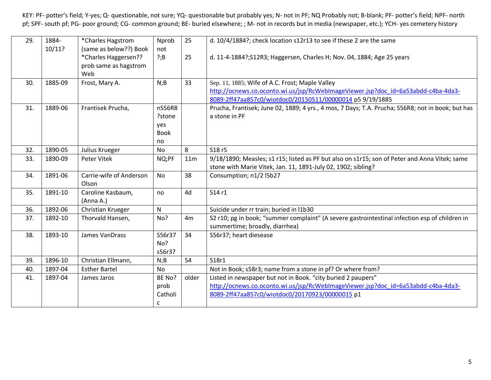| 29. | 1884-   | *Charles Hagstrom                                                              | Nprob                                        | 25    | d. 10/4/1884?; check location s12r13 to see if these 2 are the same                                                                                                                                  |
|-----|---------|--------------------------------------------------------------------------------|----------------------------------------------|-------|------------------------------------------------------------------------------------------------------------------------------------------------------------------------------------------------------|
|     | 10/11?  | (same as below??) Book<br>*Charles Haggersen??<br>prob same as hagstrom<br>Web | not<br>?;B                                   | 25    | d. 11-4-1884?; S12R3; Haggersen, Charles H; Nov. 04, 1884; Age 25 years                                                                                                                              |
| 30. | 1885-09 | Frost, Mary A.                                                                 | N;B                                          | 33    | Sep. 11, 1885; Wife of A.C. Frost; Maple Valley<br>http://ocnews.co.oconto.wi.us/jsp/RcWebImageViewer.jsp?doc_id=6a53abdd-c4ba-4da3-<br>8089-2ff47aa857c0/wiotdoc0/20150511/00000014 p5 9/19/1885    |
| 31. | 1889-06 | Frantisek Prucha,                                                              | nS56R8<br>?stone<br>yes<br><b>Book</b><br>no |       | Prucha, Frantisek; June 02, 1889; 4 yrs., 4 mos, 7 Days; T.A. Prucha; S56R8; not in book; but has<br>a stone in PF                                                                                   |
| 32. | 1890-05 | Julius Krueger                                                                 | No                                           | 8     | S18r5                                                                                                                                                                                                |
| 33. | 1890-09 | Peter Vitek                                                                    | NQ;PF                                        | 11m   | 9/18/1890; Measles; s1 r15; listed as PF but also on s1r15; son of Peter and Anna Vitek; same<br>stone with Marie Vitek, Jan. 11, 1891-July 02, 1902; sibling?                                       |
| 34. | 1891-06 | Carrie-wife of Anderson<br>Olson                                               | <b>No</b>                                    | 38    | Consumption; n1/2 I5b27                                                                                                                                                                              |
| 35. | 1891-10 | Caroline Kasbaum,<br>(Anna A.)                                                 | no                                           | 4d    | S14r1                                                                                                                                                                                                |
| 36. | 1892-06 | Christian Krueger                                                              | N                                            |       | Suicide under rr train; buried in I1b30                                                                                                                                                              |
| 37. | 1892-10 | Thorvald Hansen,                                                               | No?                                          | 4m    | S2 r10; pg in book; "summer complaint" (A severe gastrointestinal infection esp of children in<br>summertime; broadly, diarrhea)                                                                     |
| 38. | 1893-10 | James VanDrass                                                                 | S56r37<br>No?<br>s56r37                      | 34    | S56r37; heart diesease                                                                                                                                                                               |
| 39. | 1896-10 | Christian Ellmann,                                                             | N;B                                          | 54    | S18r1                                                                                                                                                                                                |
| 40. | 1897-04 | <b>Esther Bartel</b>                                                           | No                                           |       | Not in Book; s58r3; name from a stone in pf? Or where from?                                                                                                                                          |
| 41. | 1897-04 | James Jaros                                                                    | BE No?<br>prob<br>Catholi<br>C               | older | Listed in newspaper but not in Book. "city buried 2 paupers"<br>http://ocnews.co.oconto.wi.us/jsp/RcWebImageViewer.jsp?doc_id=6a53abdd-c4ba-4da3-<br>8089-2ff47aa857c0/wiotdoc0/20170923/00000015 p1 |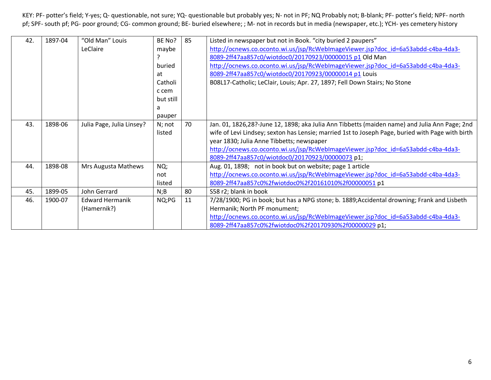| 42. | 1897-04 | "Old Man" Louis           | BE No?    | 85 | Listed in newspaper but not in Book. "city buried 2 paupers"                                     |
|-----|---------|---------------------------|-----------|----|--------------------------------------------------------------------------------------------------|
|     |         | LeClaire                  | maybe     |    | http://ocnews.co.oconto.wi.us/jsp/RcWebImageViewer.jsp?doc_id=6a53abdd-c4ba-4da3-                |
|     |         |                           |           |    | 8089-2ff47aa857c0/wiotdoc0/20170923/00000015 p1 Old Man                                          |
|     |         |                           | buried    |    | http://ocnews.co.oconto.wi.us/jsp/RcWebImageViewer.jsp?doc_id=6a53abdd-c4ba-4da3-                |
|     |         |                           | at        |    | 8089-2ff47aa857c0/wiotdoc0/20170923/00000014 p1 Louis                                            |
|     |         |                           | Catholi   |    | B08L17-Catholic; LeClair, Louis; Apr. 27, 1897; Fell Down Stairs; No Stone                       |
|     |         |                           | c cem     |    |                                                                                                  |
|     |         |                           | but still |    |                                                                                                  |
|     |         |                           | a         |    |                                                                                                  |
|     |         |                           | pauper    |    |                                                                                                  |
| 43. | 1898-06 | Julia Page, Julia Linsey? | N; not    | 70 | Jan. 01, 1826,28?-June 12, 1898; aka Julia Ann Tibbetts (maiden name) and Julia Ann Page; 2nd    |
|     |         |                           | listed    |    | wife of Levi Lindsey; sexton has Lensie; married 1st to Joseph Page, buried with Page with birth |
|     |         |                           |           |    | year 1830; Julia Anne Tibbetts; newspaper                                                        |
|     |         |                           |           |    | http://ocnews.co.oconto.wi.us/jsp/RcWebImageViewer.jsp?doc_id=6a53abdd-c4ba-4da3-                |
|     |         |                           |           |    | 8089-2ff47aa857c0/wiotdoc0/20170923/00000073 p1;                                                 |
| 44. | 1898-08 | Mrs Augusta Mathews       | NQ;       |    | Aug. 01, 1898; not in book but on website; page 1 article                                        |
|     |         |                           | not       |    | http://ocnews.co.oconto.wi.us/jsp/RcWebImageViewer.jsp?doc_id=6a53abdd-c4ba-4da3-                |
|     |         |                           | listed    |    | 8089-2ff47aa857c0%2fwiotdoc0%2f20161010%2f00000051 p1                                            |
| 45. | 1899-05 | John Gerrard              | N;B       | 80 | S58 r2; blank in book                                                                            |
| 46. | 1900-07 | <b>Edward Hermanik</b>    | NQ;PG     | 11 | 7/28/1900; PG in book; but has a NPG stone; b. 1889;Accidental drowning; Frank and Lisbeth       |
|     |         | (Hamernik?)               |           |    | Hermanik; North PF monument;                                                                     |
|     |         |                           |           |    | http://ocnews.co.oconto.wi.us/jsp/RcWebImageViewer.jsp?doc_id=6a53abdd-c4ba-4da3-                |
|     |         |                           |           |    | 8089-2ff47aa857c0%2fwiotdoc0%2f20170930%2f00000029 p1;                                           |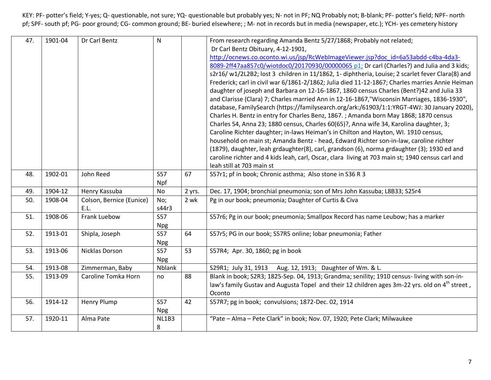| 47. | 1901-04 | Dr Carl Bentz            | $\mathsf{N}$ |        | From research regarding Amanda Bentz 5/27/1868; Probably not related;                                      |
|-----|---------|--------------------------|--------------|--------|------------------------------------------------------------------------------------------------------------|
|     |         |                          |              |        | Dr Carl Bentz Obituary, 4-12-1901,                                                                         |
|     |         |                          |              |        | http://ocnews.co.oconto.wi.us/jsp/RcWebImageViewer.jsp?doc_id=6a53abdd-c4ba-4da3-                          |
|     |         |                          |              |        | 8089-2ff47aa857c0/wiotdoc0/20170930/00000065 p1; Dr carl (Charles?) and Julia and 3 kids;                  |
|     |         |                          |              |        | s2r16/ w1/2L2B2; lost 3 children in 11/1862, 1- diphtheria, Louise; 2 scarlet fever Clara(8) and           |
|     |         |                          |              |        | Frederick; carl in civil war 6/1861-2/1862; Julia died 11-12-1867; Charles marries Annie Heiman            |
|     |         |                          |              |        | daughter of joseph and Barbara on 12-16-1867, 1860 census Charles (Bent?)42 and Julia 33                   |
|     |         |                          |              |        | and Clarisse (Clara) 7; Charles married Ann in 12-16-1867,"Wisconsin Marriages, 1836-1930",                |
|     |         |                          |              |        | database, FamilySearch (https://familysearch.org/ark:/61903/1:1:YRGT-4WJ: 30 January 2020),                |
|     |         |                          |              |        | Charles H. Bentz in entry for Charles Benz, 1867. ; Amanda born May 1868; 1870 census                      |
|     |         |                          |              |        | Charles 54, Anna 23; 1880 census, Charles 60(65)?, Anna wife 34, Karolina daughter, 3;                     |
|     |         |                          |              |        | Caroline Richter daughter; in-laws Heiman's in Chilton and Hayton, WI. 1910 census,                        |
|     |         |                          |              |        | household on main st; Amanda Bentz - head, Edward Richter son-in-law, caroline richter                     |
|     |         |                          |              |        | (1879), daughter, leah grdaughter(8), carl, grandson (6), norma grdaughter (3); 1930 ed and                |
|     |         |                          |              |        | caroline richter and 4 kids leah, carl, Oscar, clara living at 703 main st; 1940 census carl and           |
|     |         |                          |              |        | leah still at 703 main st                                                                                  |
| 48. | 1902-01 | John Reed                | <b>S57</b>   | 67     | S57r1; pf in book; Chronic asthma; Also stone in S36 R 3                                                   |
|     |         |                          | Npf          |        |                                                                                                            |
| 49. | 1904-12 | Henry Kassuba            | No           | 2 yrs. | Dec. 17, 1904; bronchial pneumonia; son of Mrs John Kassuba; L8B33; S25r4                                  |
| 50. | 1908-04 | Colson, Bernice (Eunice) | No;          | 2 wk   | Pg in our book; pneumonia; Daughter of Curtis & Civa                                                       |
|     |         | E.L.                     | s44r3        |        |                                                                                                            |
| 51. | 1908-06 | Frank Luebow             | <b>S57</b>   |        | S57r6; Pg in our book; pneumonia; Smallpox Record has name Leubow; has a marker                            |
|     |         |                          | <b>Npg</b>   |        |                                                                                                            |
| 52. | 1913-01 | Shipla, Joseph           | <b>S57</b>   | 64     | S57r5; PG in our book; S57R5 online; lobar pneumonia; Father                                               |
|     |         |                          | <b>Npg</b>   |        |                                                                                                            |
| 53. | 1913-06 | Nicklas Dorson           | <b>S57</b>   | 53     | S57R4; Apr. 30, 1860; pg in book                                                                           |
|     |         |                          | <b>Npg</b>   |        |                                                                                                            |
| 54. | 1913-08 | Zimmerman, Baby          | Nblank       |        | S29R1; July 31, 1913<br>Aug. 12, 1913; Daughter of Wm. & L.                                                |
| 55. | 1913-09 | Caroline Tomka Horn      | no           | 88     | Blank in book; S2R3; 1825-Sep. 04, 1913; Grandma; senility; 1910 census-living with son-in-                |
|     |         |                          |              |        | law's family Gustav and Augusta Topel and their 12 children ages 3m-22 yrs. old on 4 <sup>th</sup> street, |
|     |         |                          |              |        | Oconto                                                                                                     |
| 56. | 1914-12 | <b>Henry Plump</b>       | <b>S57</b>   | 42     | S57R7; pg in book; convulsions; 1872-Dec. 02, 1914                                                         |
|     |         |                          | <b>Npg</b>   |        |                                                                                                            |
| 57. | 1920-11 | Alma Pate                | NL1B3        |        | "Pate - Alma - Pete Clark" in book; Nov. 07, 1920; Pete Clark; Milwaukee                                   |
|     |         |                          | 8            |        |                                                                                                            |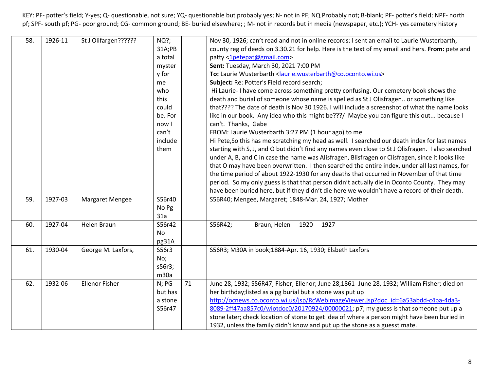| 58. | 1926-11 | St J Olifargen??????  | $NQ$ ?; |    | Nov 30, 1926; can't read and not in online records: I sent an email to Laurie Wusterbarth,         |
|-----|---------|-----------------------|---------|----|----------------------------------------------------------------------------------------------------|
|     |         |                       | 31A;PB  |    | county reg of deeds on 3.30.21 for help. Here is the text of my email and hers. From: pete and     |
|     |         |                       | a total |    | patty <1petepat@gmail.com>                                                                         |
|     |         |                       | myster  |    | Sent: Tuesday, March 30, 2021 7:00 PM                                                              |
|     |         |                       | y for   |    | To: Laurie Wusterbarth < laurie.wusterbarth@co.oconto.wi.us>                                       |
|     |         |                       | me      |    | Subject: Re: Potter's Field record search;                                                         |
|     |         |                       | who     |    | Hi Laurie-I have come across something pretty confusing. Our cemetery book shows the               |
|     |         |                       | this    |    | death and burial of someone whose name is spelled as St J Olisfragen or something like             |
|     |         |                       | could   |    | that???? The date of death is Nov 30 1926. I will include a screenshot of what the name looks      |
|     |         |                       | be. For |    | like in our book. Any idea who this might be???/ Maybe you can figure this out because I           |
|     |         |                       | now I   |    | can't. Thanks, Gabe                                                                                |
|     |         |                       | can't   |    | FROM: Laurie Wusterbarth 3:27 PM (1 hour ago) to me                                                |
|     |         |                       | include |    | Hi Pete, So this has me scratching my head as well. I searched our death index for last names      |
|     |         |                       | them    |    | starting with S, J, and O but didn't find any names even close to St J Olisfragen. I also searched |
|     |         |                       |         |    | under A, B, and C in case the name was Alisfragen, Blisfragen or Clisfragen, since it looks like   |
|     |         |                       |         |    | that O may have been overwritten. I then searched the entire index, under all last names, for      |
|     |         |                       |         |    | the time period of about 1922-1930 for any deaths that occurred in November of that time           |
|     |         |                       |         |    | period. So my only guess is that that person didn't actually die in Oconto County. They may        |
|     |         |                       |         |    | have been buried here, but if they didn't die here we wouldn't have a record of their death.       |
| 59. | 1927-03 | Margaret Mengee       | S56r40  |    | S56R40; Mengee, Margaret; 1848-Mar. 24, 1927; Mother                                               |
|     |         |                       | No Pg   |    |                                                                                                    |
|     |         |                       | 31a     |    |                                                                                                    |
| 60. | 1927-04 | <b>Helen Braun</b>    | S56r42  |    | S56R42;<br>1920<br>1927<br>Braun, Helen                                                            |
|     |         |                       | No      |    |                                                                                                    |
|     |         |                       | pg31A   |    |                                                                                                    |
| 61. | 1930-04 | George M. Laxfors,    | S56r3   |    | S56R3; M30A in book;1884-Apr. 16, 1930; Elsbeth Laxfors                                            |
|     |         |                       | No;     |    |                                                                                                    |
|     |         |                       | s56r3;  |    |                                                                                                    |
|     |         |                       | m30a    |    |                                                                                                    |
| 62. | 1932-06 | <b>Ellenor Fisher</b> | N; PG   | 71 | June 28, 1932; S56R47; Fisher, Ellenor; June 28,1861- June 28, 1932; William Fisher; died on       |
|     |         |                       | but has |    | her birthday; listed as a pg burial but a stone was put up                                         |
|     |         |                       | a stone |    | http://ocnews.co.oconto.wi.us/jsp/RcWebImageViewer.jsp?doc_id=6a53abdd-c4ba-4da3-                  |
|     |         |                       | S56r47  |    | 8089-2ff47aa857c0/wiotdoc0/20170924/00000021; p7; my guess is that someone put up a                |
|     |         |                       |         |    | stone later; check location of stone to get idea of where a person might have been buried in       |
|     |         |                       |         |    | 1932, unless the family didn't know and put up the stone as a guesstimate.                         |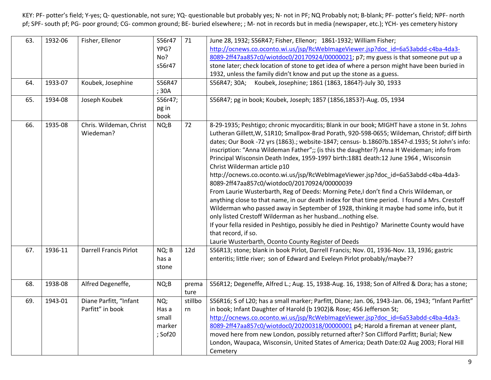| 63.<br>64.<br>65. | 1932-06<br>1933-07<br>1934-08 | Fisher, Ellenor<br>Koubek, Josephine<br>Joseph Koubek | S56r47<br>YPG?<br>No?<br>s56r47<br>S56R47<br>; 30A<br>S56r47;<br>pg in<br>book | 71            | June 28, 1932; S56R47; Fisher, Ellenor; 1861-1932; William Fisher;<br>http://ocnews.co.oconto.wi.us/jsp/RcWebImageViewer.jsp?doc_id=6a53abdd-c4ba-4da3-<br>8089-2ff47aa857c0/wiotdoc0/20170924/00000021; p7; my guess is that someone put up a<br>stone later; check location of stone to get idea of where a person might have been buried in<br>1932, unless the family didn't know and put up the stone as a guess.<br>S56R47; 30A; Koubek, Josephine; 1861 (1863, 1864?)-July 30, 1933<br>S56R47; pg in book; Koubek, Joseph; 1857 (1856,1853?)-Aug. 05, 1934                                                                                                                                                                                                                                                                                                                                                                                                                                                                                                                                                                                                                        |
|-------------------|-------------------------------|-------------------------------------------------------|--------------------------------------------------------------------------------|---------------|------------------------------------------------------------------------------------------------------------------------------------------------------------------------------------------------------------------------------------------------------------------------------------------------------------------------------------------------------------------------------------------------------------------------------------------------------------------------------------------------------------------------------------------------------------------------------------------------------------------------------------------------------------------------------------------------------------------------------------------------------------------------------------------------------------------------------------------------------------------------------------------------------------------------------------------------------------------------------------------------------------------------------------------------------------------------------------------------------------------------------------------------------------------------------------------|
| 66.               | 1935-08                       | Chris. Wildeman, Christ<br>Wiedeman?                  | NQ;B                                                                           | 72            | 8-29-1935; Peshtigo; chronic myocarditis; Blank in our book; MIGHT have a stone in St. Johns<br>Lutheran Gillett, W, S1R10; Smallpox-Brad Porath, 920-598-0655; Wildeman, Christof; diff birth<br>dates; Our Book -72 yrs (1863).; website-1847; census- b.1860?b.1854?-d.1935; St John's info:<br>inscription: "Anna Wildeman Father";; (is this the daughter?) Anna H Weideman; info from<br>Principal Wisconsin Death Index, 1959-1997 birth:1881 death:12 June 1964, Wisconsin<br>Christ Wilderman article p10<br>http://ocnews.co.oconto.wi.us/jsp/RcWebImageViewer.jsp?doc_id=6a53abdd-c4ba-4da3-<br>8089-2ff47aa857c0/wiotdoc0/20170924/00000039<br>From Laurie Wusterbarth, Reg of Deeds: Morning Pete,I don't find a Chris Wildeman, or<br>anything close to that name, in our death index for that time period. I found a Mrs. Crestoff<br>Wilderman who passed away in September of 1928, thinking it maybe had some info, but it<br>only listed Crestoff Wilderman as her husbandnothing else.<br>If your fella resided in Peshtigo, possibly he died in Peshtigo? Marinette County would have<br>that record, if so.<br>Laurie Wusterbarth, Oconto County Register of Deeds |
| 67.               | 1936-11                       | Darrell Francis Pirlot                                | NQ; B<br>has a<br>stone                                                        | 12d           | S56R13; stone; blank in book Pirlot, Darrell Francis; Nov. 01, 1936-Nov. 13, 1936; gastric<br>enteritis; little river; son of Edward and Eveleyn Pirlot probably/maybe??                                                                                                                                                                                                                                                                                                                                                                                                                                                                                                                                                                                                                                                                                                                                                                                                                                                                                                                                                                                                                 |
| 68.               | 1938-08                       | Alfred Degeneffe,                                     | NQ;B                                                                           | prema<br>ture | S56R12; Degeneffe, Alfred L.; Aug. 15, 1938-Aug. 16, 1938; Son of Alfred & Dora; has a stone;                                                                                                                                                                                                                                                                                                                                                                                                                                                                                                                                                                                                                                                                                                                                                                                                                                                                                                                                                                                                                                                                                            |
| 69.               | 1943-01                       | Diane Parfitt, "Infant<br>Parfitt" in book            | NQ;<br>Has a<br>small<br>marker<br>; Sof20                                     | stillbo<br>rn | S56R16; S of L20; has a small marker; Parfitt, Diane; Jan. 06, 1943-Jan. 06, 1943; "Infant Parfitt"<br>in book; Infant Daughter of Harold (b 1902)& Rose; 456 Jefferson St;<br>http://ocnews.co.oconto.wi.us/jsp/RcWebImageViewer.jsp?doc_id=6a53abdd-c4ba-4da3-<br>8089-2ff47aa857c0/wiotdoc0/20200318/00000001 p4; Harold a fireman at veneer plant,<br>moved here from new London, possibly returned after? Son Clifford Parfitt; Burial; New<br>London, Waupaca, Wisconsin, United States of America; Death Date:02 Aug 2003; Floral Hill<br>Cemetery                                                                                                                                                                                                                                                                                                                                                                                                                                                                                                                                                                                                                                |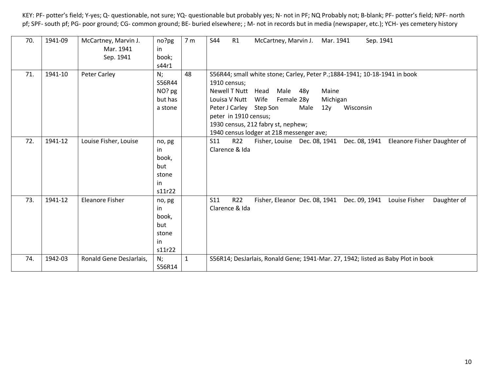| 70. | 1941-09 | McCartney, Marvin J.<br>Mar. 1941<br>Sep. 1941 | no?pg<br>in<br>book;<br>s44r1                         | 7 <sub>m</sub> | R1<br><b>S44</b><br>Sep. 1941<br>McCartney, Marvin J.<br>Mar. 1941                                                                                                                                                                                                                                                                                            |
|-----|---------|------------------------------------------------|-------------------------------------------------------|----------------|---------------------------------------------------------------------------------------------------------------------------------------------------------------------------------------------------------------------------------------------------------------------------------------------------------------------------------------------------------------|
| 71. | 1941-10 | Peter Carley                                   | N;<br>S56R44<br>NO? pg<br>but has<br>a stone          | 48             | S56R44; small white stone; Carley, Peter P.; 1884-1941; 10-18-1941 in book<br>1910 census;<br>Newell T Nutt Head<br>Male<br>Maine<br>48y<br>Wife<br>Louisa V Nutt<br>Female 28y<br>Michigan<br>Peter J Carley Step Son<br>Male<br>Wisconsin<br>12y<br>peter in 1910 census;<br>1930 census, 212 fabry st, nephew;<br>1940 census lodger at 218 messenger ave; |
| 72. | 1941-12 | Louise Fisher, Louise                          | no, pg<br>in<br>book,<br>but<br>stone<br>in<br>s11r22 |                | S11<br>R22<br>Dec. 08, 1941<br>Eleanore Fisher Daughter of<br>Fisher, Louise Dec. 08, 1941<br>Clarence & Ida                                                                                                                                                                                                                                                  |
| 73. | 1941-12 | <b>Eleanore Fisher</b>                         | no, pg<br>in<br>book,<br>but<br>stone<br>in<br>s11r22 |                | R22<br>S11<br>Fisher, Eleanor Dec. 08, 1941<br>Dec. 09, 1941<br>Louise Fisher<br>Daughter of<br>Clarence & Ida                                                                                                                                                                                                                                                |
| 74. | 1942-03 | Ronald Gene DesJarlais,                        | $N$ ;<br>S56R14                                       | $\mathbf{1}$   | S56R14; DesJarlais, Ronald Gene; 1941-Mar. 27, 1942; listed as Baby Plot in book                                                                                                                                                                                                                                                                              |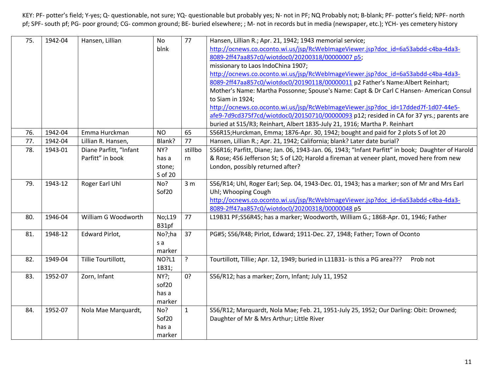| 75. | 1942-04 | Hansen, Lillian        | <b>No</b>         | 77             | Hansen, Lillian R.; Apr. 21, 1942; 1943 memorial service;                                         |
|-----|---------|------------------------|-------------------|----------------|---------------------------------------------------------------------------------------------------|
|     |         |                        | blnk              |                | http://ocnews.co.oconto.wi.us/jsp/RcWebImageViewer.jsp?doc_id=6a53abdd-c4ba-4da3-                 |
|     |         |                        |                   |                | 8089-2ff47aa857c0/wiotdoc0/20200318/00000007 p5;                                                  |
|     |         |                        |                   |                | missionary to Laos IndoChina 1907;                                                                |
|     |         |                        |                   |                | http://ocnews.co.oconto.wi.us/jsp/RcWebImageViewer.jsp?doc_id=6a53abdd-c4ba-4da3-                 |
|     |         |                        |                   |                | 8089-2ff47aa857c0/wiotdoc0/20190118/00000011 p2 Father's Name:Albert Reinhart;                    |
|     |         |                        |                   |                | Mother's Name: Martha Possonne; Spouse's Name: Capt & Dr Carl C Hansen-American Consul            |
|     |         |                        |                   |                | to Siam in 1924;                                                                                  |
|     |         |                        |                   |                | http://ocnews.co.oconto.wi.us/jsp/RcWebImageViewer.jsp?doc_id=17dded7f-1d07-44e5-                 |
|     |         |                        |                   |                | afe9-7d9cd375f7cd/wiotdoc0/20150710/00000093 p12; resided in CA for 37 yrs.; parents are          |
|     |         |                        |                   |                | buried at S15/R3; Reinhart, Albert 1835-July 21, 1916; Martha P. Reinhart                         |
| 76. | 1942-04 | Emma Hurckman          | <b>NO</b>         | 65             | S56R15;Hurckman, Emma; 1876-Apr. 30, 1942; bought and paid for 2 plots S of lot 20                |
| 77. | 1942-04 | Lillian R. Hansen,     | Blank?            | 77             | Hansen, Lillian R.; Apr. 21, 1942; California; blank? Later date burial?                          |
| 78. | 1943-01 | Diane Parfitt, "Infant | NY?               | stillbo        | S56R16; Parfitt, Diane; Jan. 06, 1943-Jan. 06, 1943; "Infant Parfitt" in book; Daughter of Harold |
|     |         | Parfitt" in book       | has a             | rn             | & Rose; 456 Jefferson St; S of L20; Harold a fireman at veneer plant, moved here from new         |
|     |         |                        | stone;            |                | London, possibly returned after?                                                                  |
|     |         |                        | S of 20           |                |                                                                                                   |
| 79. | 1943-12 | Roger Earl Uhl         | No?               | 3 <sub>m</sub> | S56/R14; Uhl, Roger Earl; Sep. 04, 1943-Dec. 01, 1943; has a marker; son of Mr and Mrs Earl       |
|     |         |                        | Sof <sub>20</sub> |                | Uhl; Whooping Cough                                                                               |
|     |         |                        |                   |                | http://ocnews.co.oconto.wi.us/jsp/RcWebImageViewer.jsp?doc_id=6a53abdd-c4ba-4da3-                 |
|     |         |                        |                   |                | 8089-2ff47aa857c0/wiotdoc0/20200318/00000048 p5                                                   |
| 80. | 1946-04 | William G Woodworth    | No;L19            | 77             | L19B31 PF;S56R45; has a marker; Woodworth, William G.; 1868-Apr. 01, 1946; Father                 |
|     |         |                        | B31pf             |                |                                                                                                   |
| 81. | 1948-12 | Edward Pirlot,         | No?;ha            | 37             | PG#5; S56/R48; Pirlot, Edward; 1911-Dec. 27, 1948; Father; Town of Oconto                         |
|     |         |                        | s a               |                |                                                                                                   |
|     |         |                        | marker            |                |                                                                                                   |
| 82. | 1949-04 | Tillie Tourtillott,    | <b>NO?L1</b>      | $\tilde{?}$    | Tourtillott, Tillie; Apr. 12, 1949; buried in L11B31- is this a PG area???<br>Prob not            |
|     |         |                        | 1B31;             |                |                                                                                                   |
| 83. | 1952-07 | Zorn, Infant           | NY?;              | 0?             | S56/R12; has a marker; Zorn, Infant; July 11, 1952                                                |
|     |         |                        | sof <sub>20</sub> |                |                                                                                                   |
|     |         |                        | has a             |                |                                                                                                   |
|     |         |                        | marker            |                |                                                                                                   |
| 84. | 1952-07 | Nola Mae Marquardt,    | No?               | $\mathbf{1}$   | S56/R12; Marquardt, Nola Mae; Feb. 21, 1951-July 25, 1952; Our Darling: Obit: Drowned;            |
|     |         |                        | Sof <sub>20</sub> |                | Daughter of Mr & Mrs Arthur; Little River                                                         |
|     |         |                        | has a             |                |                                                                                                   |
|     |         |                        | marker            |                |                                                                                                   |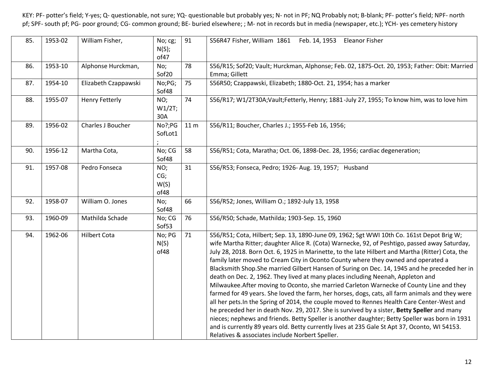| 85. | 1953-02 | William Fisher,       | No; cg;<br>N(S);<br>of47   | 91              | S56R47 Fisher, William 1861 Feb. 14, 1953 Eleanor Fisher                                                                                                                                                                                                                                                                                                                                                                                                                                                                                                                                                                                                                                                                                                                                                                                                                                                                                                                                                                                                                                                                                                                                                                  |
|-----|---------|-----------------------|----------------------------|-----------------|---------------------------------------------------------------------------------------------------------------------------------------------------------------------------------------------------------------------------------------------------------------------------------------------------------------------------------------------------------------------------------------------------------------------------------------------------------------------------------------------------------------------------------------------------------------------------------------------------------------------------------------------------------------------------------------------------------------------------------------------------------------------------------------------------------------------------------------------------------------------------------------------------------------------------------------------------------------------------------------------------------------------------------------------------------------------------------------------------------------------------------------------------------------------------------------------------------------------------|
| 86. | 1953-10 | Alphonse Hurckman,    | No;<br>Sof <sub>20</sub>   | 78              | S56/R15; Sof20; Vault; Hurckman, Alphonse; Feb. 02, 1875-Oct. 20, 1953; Father: Obit: Married<br>Emma; Gillett                                                                                                                                                                                                                                                                                                                                                                                                                                                                                                                                                                                                                                                                                                                                                                                                                                                                                                                                                                                                                                                                                                            |
| 87. | 1954-10 | Elizabeth Czappawski  | No;PG;<br>Sof48            | 75              | S56R50; Czappawski, Elizabeth; 1880-Oct. 21, 1954; has a marker                                                                                                                                                                                                                                                                                                                                                                                                                                                                                                                                                                                                                                                                                                                                                                                                                                                                                                                                                                                                                                                                                                                                                           |
| 88. | 1955-07 | <b>Henry Fetterly</b> | NO;<br>W1/2T;<br>30A       | 74              | S56/R17; W1/2T30A;Vault;Fetterly, Henry; 1881-July 27, 1955; To know him, was to love him                                                                                                                                                                                                                                                                                                                                                                                                                                                                                                                                                                                                                                                                                                                                                                                                                                                                                                                                                                                                                                                                                                                                 |
| 89. | 1956-02 | Charles J Boucher     | No?;PG<br>SofLot1          | 11 <sub>m</sub> | S56/R11; Boucher, Charles J.; 1955-Feb 16, 1956;                                                                                                                                                                                                                                                                                                                                                                                                                                                                                                                                                                                                                                                                                                                                                                                                                                                                                                                                                                                                                                                                                                                                                                          |
| 90. | 1956-12 | Martha Cota,          | No; CG<br>Sof48            | 58              | S56/R51; Cota, Maratha; Oct. 06, 1898-Dec. 28, 1956; cardiac degeneration;                                                                                                                                                                                                                                                                                                                                                                                                                                                                                                                                                                                                                                                                                                                                                                                                                                                                                                                                                                                                                                                                                                                                                |
| 91. | 1957-08 | Pedro Fonseca         | NO;<br>CG;<br>W(S)<br>of48 | 31              | S56/R53; Fonseca, Pedro; 1926-Aug. 19, 1957; Husband                                                                                                                                                                                                                                                                                                                                                                                                                                                                                                                                                                                                                                                                                                                                                                                                                                                                                                                                                                                                                                                                                                                                                                      |
| 92. | 1958-07 | William O. Jones      | No;<br>Sof48               | 66              | S56/R52; Jones, William O.; 1892-July 13, 1958                                                                                                                                                                                                                                                                                                                                                                                                                                                                                                                                                                                                                                                                                                                                                                                                                                                                                                                                                                                                                                                                                                                                                                            |
| 93. | 1960-09 | Mathilda Schade       | No; CG<br>Sof53            | 76              | S56/R50; Schade, Mathilda; 1903-Sep. 15, 1960                                                                                                                                                                                                                                                                                                                                                                                                                                                                                                                                                                                                                                                                                                                                                                                                                                                                                                                                                                                                                                                                                                                                                                             |
| 94. | 1962-06 | <b>Hilbert Cota</b>   | No; PG<br>N(S)<br>of48     | 71              | S56/R51; Cota, Hilbert; Sep. 13, 1890-June 09, 1962; Sgt WWI 10th Co. 161st Depot Brig W;<br>wife Martha Ritter; daughter Alice R. (Cota) Warnecke, 92, of Peshtigo, passed away Saturday,<br>July 28, 2018. Born Oct. 6, 1925 in Marinette, to the late Hilbert and Martha (Ritter) Cota, the<br>family later moved to Cream City in Oconto County where they owned and operated a<br>Blacksmith Shop.She married Gilbert Hansen of Suring on Dec. 14, 1945 and he preceded her in<br>death on Dec. 2, 1962. They lived at many places including Neenah, Appleton and<br>Milwaukee. After moving to Oconto, she married Carleton Warnecke of County Line and they<br>farmed for 49 years. She loved the farm, her horses, dogs, cats, all farm animals and they were<br>all her pets. In the Spring of 2014, the couple moved to Rennes Health Care Center-West and<br>he preceded her in death Nov. 29, 2017. She is survived by a sister, Betty Speller and many<br>nieces; nephews and friends. Betty Speller is another daughter; Betty Speller was born in 1931<br>and is currently 89 years old. Betty currently lives at 235 Gale St Apt 37, Oconto, WI 54153.<br>Relatives & associates include Norbert Speller. |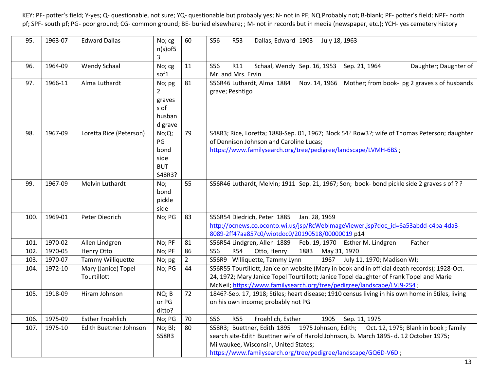| 95.  | 1963-07 | <b>Edward Dallas</b>               | No; cg<br>$n(s)$ of5<br>3                           | 60             | <b>S56</b><br><b>R53</b><br>Dallas, Edward 1903<br>July 18, 1963                                                                                                                                                                                                                        |
|------|---------|------------------------------------|-----------------------------------------------------|----------------|-----------------------------------------------------------------------------------------------------------------------------------------------------------------------------------------------------------------------------------------------------------------------------------------|
| 96.  | 1964-09 | <b>Wendy Schaal</b>                | No; cg<br>sof1                                      | 11             | S56<br>R11<br>Schaal, Wendy Sep. 16, 1953<br>Sep. 21, 1964<br>Daughter; Daughter of<br>Mr. and Mrs. Ervin                                                                                                                                                                               |
| 97.  | 1966-11 | Alma Luthardt                      | No; pg<br>2<br>graves<br>s of<br>husban<br>d grave  | 81             | S56R46 Luthardt, Alma 1884<br>Nov. 14, 1966 Mother; from book- pg 2 graves s of husbands<br>grave; Peshtigo                                                                                                                                                                             |
| 98.  | 1967-09 | Loretta Rice (Peterson)            | No;Q;<br>PG<br>bond<br>side<br><b>BUT</b><br>S48R3? | 79             | S48R3; Rice, Loretta; 1888-Sep. 01, 1967; Block 54? Row3?; wife of Thomas Peterson; daughter<br>of Dennison Johnson and Caroline Lucas;<br>https://www.familysearch.org/tree/pedigree/landscape/LVMH-6BS;                                                                               |
| 99.  | 1967-09 | Melvin Luthardt                    | No;<br>bond<br>pickle<br>side                       | 55             | S56R46 Luthardt, Melvin; 1911 Sep. 21, 1967; Son; book- bond pickle side 2 graves s of ??                                                                                                                                                                                               |
| 100. | 1969-01 | Peter Diedrich                     | No; PG                                              | 83             | S56R54 Diedrich, Peter 1885<br>Jan. 28, 1969<br>http://ocnews.co.oconto.wi.us/jsp/RcWebImageViewer.jsp?doc_id=6a53abdd-c4ba-4da3-<br>8089-2ff47aa857c0/wiotdoc0/20190518/00000019 p14                                                                                                   |
| 101. | 1970-02 | Allen Lindgren                     | No; PF                                              | 81             | S56R54 Lindgren, Allen 1889<br>Father<br>Feb. 19, 1970 Esther M. Lindgren                                                                                                                                                                                                               |
| 102. | 1970-05 | Henry Otto                         | No; PF                                              | 86             | S56<br><b>R54</b><br>Otto, Henry<br>1883<br>May 31, 1970                                                                                                                                                                                                                                |
| 103. | 1970-07 | Tammy Williquette                  | No; pg                                              | $\overline{2}$ | S56R9 Williquette, Tammy Lynn<br>1967<br>July 11, 1970; Madison WI;                                                                                                                                                                                                                     |
| 104. | 1972-10 | Mary (Janice) Topel<br>Tourtillott | No; PG                                              | 44             | S56R55 Tourtillott, Janice on website (Mary in book and in official death records); 1928-Oct.<br>24, 1972; Mary Janice Topel Tourtillott; Janice Topel daughter of Frank Topel and Marie<br>McNeil; https://www.familysearch.org/tree/pedigree/landscape/LVJ9-2S4;                      |
| 105. | 1918-09 | Hiram Johnson                      | NQ; B<br>or PG<br>ditto?                            | 72             | 1846?-Sep. 17, 1918; Stiles; heart disease; 1910 census living in his own home in Stiles, living<br>on his own income; probably not PG                                                                                                                                                  |
| 106. | 1975-09 | <b>Esther Froehlich</b>            | No; PG                                              | 70             | <b>S56</b><br><b>R55</b><br>Froehlich, Esther<br>1905<br>Sep. 11, 1975                                                                                                                                                                                                                  |
| 107. | 1975-10 | Edith Buettner Johnson             | No; Bl;<br>S58R3                                    | 80             | S58R3; Buettner, Edith 1895 1975 Johnson, Edith; Oct. 12, 1975; Blank in book; family<br>search site-Edith Buettner wife of Harold Johnson, b. March 1895-d. 12 October 1975;<br>Milwaukee, Wisconsin, United States;<br>https://www.familysearch.org/tree/pedigree/landscape/GQ6D-V6D; |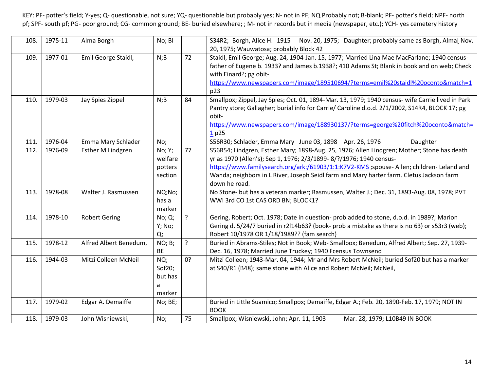| 108. | 1975-11 | Alma Borgh             | No; Bl    |    | S34R2; Borgh, Alice H. 1915 Nov. 20, 1975; Daughter; probably same as Borgh, Alma[ Nov.          |
|------|---------|------------------------|-----------|----|--------------------------------------------------------------------------------------------------|
|      |         |                        |           |    | 20, 1975; Wauwatosa; probably Block 42                                                           |
| 109. | 1977-01 | Emil George Staidl,    | N;B       | 72 | Staidl, Emil George; Aug. 24, 1904-Jan. 15, 1977; Married Lina Mae MacFarlane; 1940 census-      |
|      |         |                        |           |    | father of Eugene b. 1933? and James b.1938?; 410 Adams St; Blank in book and on web; Check       |
|      |         |                        |           |    | with Einard?; pg obit-                                                                           |
|      |         |                        |           |    | https://www.newspapers.com/image/189510694/?terms=emil%20staidl%20oconto&match=1                 |
|      |         |                        |           |    | p23                                                                                              |
| 110. | 1979-03 | Jay Spies Zippel       | N;B       | 84 | Smallpox; Zippel, Jay Spies; Oct. 01, 1894-Mar. 13, 1979; 1940 census- wife Carrie lived in Park |
|      |         |                        |           |    | Pantry store; Gallagher; burial info for Carrie/ Caroline d.o.d. 2/1/2002, S14R4, BLOCK 17; pg   |
|      |         |                        |           |    | obit-                                                                                            |
|      |         |                        |           |    | https://www.newspapers.com/image/188930137/?terms=george%20fitch%20oconto&match=                 |
|      |         |                        |           |    | 1p25                                                                                             |
| 111. | 1976-04 | Emma Mary Schlader     | No;       |    | S56R30; Schlader, Emma Mary June 03, 1898 Apr. 26, 1976<br>Daughter                              |
| 112. | 1976-09 | Esther M Lindgren      | No; Y;    | 77 | S56R54; Lindgren, Esther Mary; 1898-Aug. 25, 1976; Allen Lindgren; Mother; Stone has death       |
|      |         |                        | welfare   |    | yr as 1970 (Allen's); Sep 1, 1976; 2/3/1899-8/?/1976; 1940 census-                               |
|      |         |                        | potters   |    | https://www.familysearch.org/ark:/61903/1:1:K7V2-KMS ;spouse- Allen; children- Leland and        |
|      |         |                        | section   |    | Wanda; neighbors in L River, Joseph Seidl farm and Mary harter farm. Cletus Jackson farm         |
|      |         |                        |           |    | down he road.                                                                                    |
| 113. | 1978-08 | Walter J. Rasmussen    | NQ;No;    |    | No Stone- but has a veteran marker; Rasmussen, Walter J.; Dec. 31, 1893-Aug. 08, 1978; PVT       |
|      |         |                        | has a     |    | WWI 3rd CO 1st CAS ORD BN; BLOCK1?                                                               |
|      |         |                        | marker    |    |                                                                                                  |
| 114. | 1978-10 | <b>Robert Gering</b>   | No; Q;    | ?  | Gering, Robert; Oct. 1978; Date in question- prob added to stone, d.o.d. in 1989?; Marion        |
|      |         |                        | Y; No;    |    | Gering d. 5/24/7 buried in r2l14b63? (book- prob a mistake as there is no 63) or s53r3 (web);    |
|      |         |                        | Q;        |    | Robert 10/1978 OR 1/18/1989?? (fam search)                                                       |
| 115. | 1978-12 | Alfred Albert Benedum, | NO; B;    | ?  | Buried in Abrams-Stiles; Not in Book; Web- Smallpox; Benedum, Alfred Albert; Sep. 27, 1939-      |
|      |         |                        | <b>BE</b> |    | Dec. 16, 1978; Married June Truckey; 1940 Fcensus Townsend                                       |
| 116. | 1944-03 | Mitzi Colleen McNeil   | NQ;       | 0? | Mitzi Colleen; 1943-Mar. 04, 1944; Mr and Mrs Robert McNeil; buried Sof20 but has a marker       |
|      |         |                        | Sof $20;$ |    | at S40/R1 (B48); same stone with Alice and Robert McNeil; McNeil,                                |
|      |         |                        | but has   |    |                                                                                                  |
|      |         |                        | a         |    |                                                                                                  |
|      |         |                        | marker    |    |                                                                                                  |
| 117. | 1979-02 | Edgar A. Demaiffe      | No; BE;   |    | Buried in Little Suamico; Smallpox; Demaiffe, Edgar A.; Feb. 20, 1890-Feb. 17, 1979; NOT IN      |
|      |         |                        |           |    | <b>BOOK</b>                                                                                      |
| 118. | 1979-03 | John Wisniewski,       | No;       | 75 | Smallpox; Wisniewski, John; Apr. 11, 1903<br>Mar. 28, 1979; L10B49 IN BOOK                       |